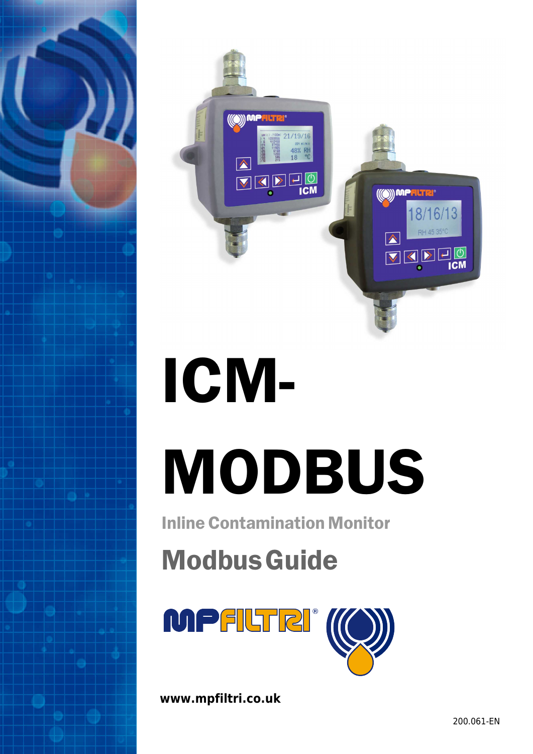

# ICM-MODBUS

Inline Contamination Monitor

**Modbus Guide** 



**www.mpfiltri.co.uk**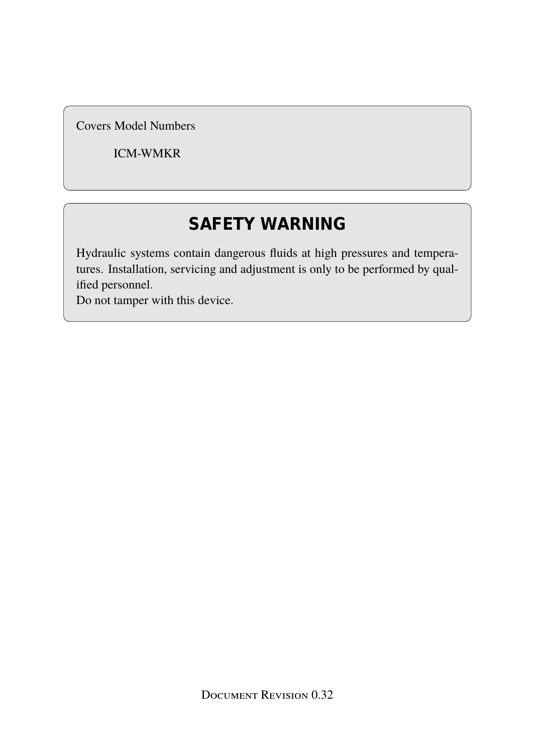Covers Model Numbers

ICM-WMKR

# **SAFETY WARNING**

Hydraulic systems contain dangerous fluids at high pressures and temperatures. Installation, servicing and adjustment is only to be performed by qualified personnel.

Do not tamper with this device.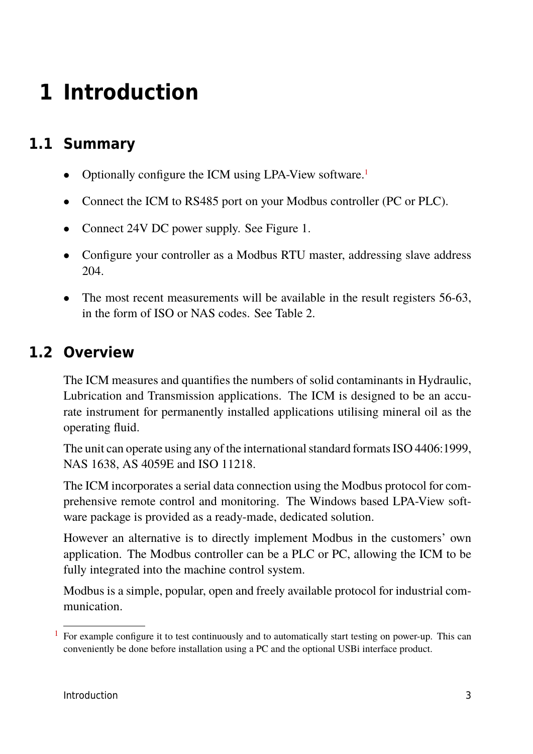# **1 Introduction**

# **1.1 Summary**

- Optionally configure the ICM using LPA-View software.<sup>1</sup>
- Connect the ICM to RS485 port on your Modbus controller (PC or PLC).
- Connect 24V DC power supply. See Figure [1.](#page-4-0)
- Configure your controller as a Modbus RTU master, addressing slave address 204.
- The most recent measurements will be available in the result registers 56-63, in the form of ISO or NAS codes. See Table [2.](#page-6-0)

# **1.2 Overview**

The ICM measures and quantifies the numbers of solid contaminants in Hydraulic, Lubrication and Transmission applications. The ICM is designed to be an accurate instrument for permanently installed applications utilising mineral oil as the operating fluid.

The unit can operate using any of the international standard formats ISO 4406:1999, NAS 1638, AS 4059E and ISO 11218.

The ICM incorporates a serial data connection using the Modbus protocol for comprehensive remote control and monitoring. The Windows based LPA-View software package is provided as a ready-made, dedicated solution.

However an alternative is to directly implement Modbus in the customers' own application. The Modbus controller can be a PLC or PC, allowing the ICM to be fully integrated into the machine control system.

Modbus is a simple, popular, open and freely available protocol for industrial communication.

<sup>1</sup> For example configure it to test continuously and to automatically start testing on power-up. This can conveniently be done before installation using a PC and the optional USBi interface product.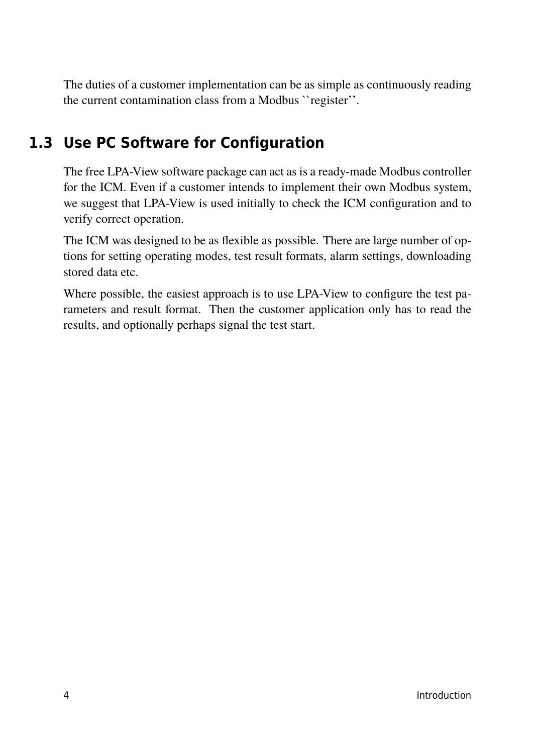The duties of a customer implementation can be as simple as continuously reading the current contamination class from a Modbus ``register''.

# **1.3 Use PC Software for Configuration**

The free LPA-View software package can act as is a ready-made Modbus controller for the ICM. Even if a customer intends to implement their own Modbus system, we suggest that LPA-View is used initially to check the ICM configuration and to verify correct operation.

The ICM was designed to be as flexible as possible. There are large number of options for setting operating modes, test result formats, alarm settings, downloading stored data etc.

Where possible, the easiest approach is to use LPA-View to configure the test parameters and result format. Then the customer application only has to read the results, and optionally perhaps signal the test start.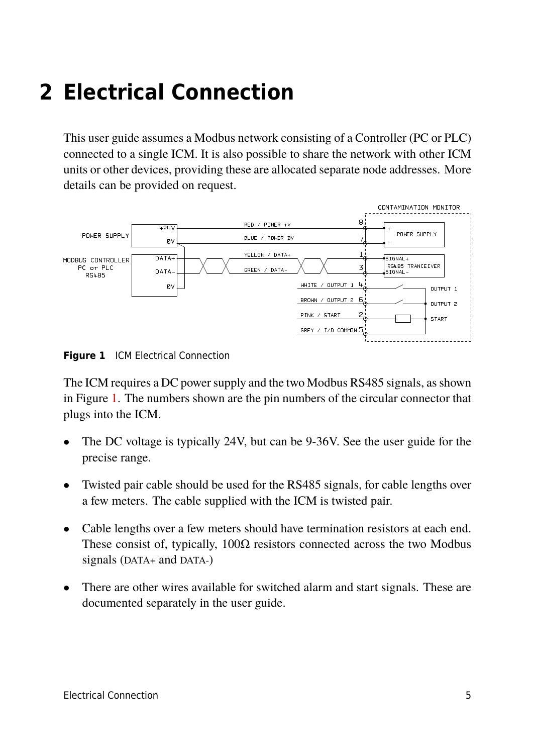# <span id="page-4-0"></span>**2 Electrical Connection**

This user guide assumes a Modbus network consisting of a Controller (PC or PLC) connected to a single ICM. It is also possible to share the network with other ICM units or other devices, providing these are allocated separate node addresses. More details can be provided on request.



**Figure 1** ICM Electrical Connection

The ICM requires a DC power supply and the two Modbus RS485 signals, as shown in Figure 1. The numbers shown are the pin numbers of the circular connector that plugs into the ICM.

- The DC voltage is typically 24V, but can be 9-36V. See the user guide for the precise range.
- Twisted pair cable should be used for the RS485 signals, for cable lengths over a few meters. The cable supplied with the ICM is twisted pair.
- Cable lengths over a few meters should have termination resistors at each end. These consist of, typically,  $100\Omega$  resistors connected across the two Modbus signals (DATA+ and DATA-)
- There are other wires available for switched alarm and start signals. These are documented separately in the user guide.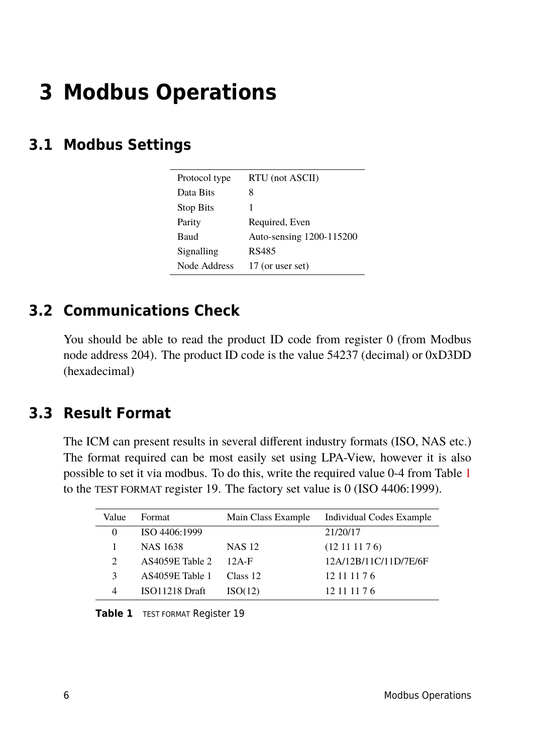# **3 Modbus Operations**

# **3.1 Modbus Settings**

| Protocol type    | RTU (not ASCII)          |
|------------------|--------------------------|
| Data Bits        | 8                        |
| <b>Stop Bits</b> |                          |
| Parity           | Required, Even           |
| Baud             | Auto-sensing 1200-115200 |
| Signalling       | RS485                    |
| Node Address     | 17 (or user set)         |
|                  |                          |

# **3.2 Communications Check**

You should be able to read the product ID code from register 0 (from Modbus node address 204). The product ID code is the value 54237 (decimal) or 0xD3DD (hexadecimal)

# **3.3 Result Format**

The ICM can present results in several different industry formats (ISO, NAS etc.) The format required can be most easily set using LPA-View, however it is also possible to set it via modbus. To do this, write the required value 0-4 from Table 1 to the TEST FORMAT register 19. The factory set value is 0 (ISO 4406:1999).

| Value                 | Format          | Main Class Example | Individual Codes Example |
|-----------------------|-----------------|--------------------|--------------------------|
|                       | ISO 4406:1999   |                    | 21/20/17                 |
|                       | <b>NAS 1638</b> | <b>NAS 12</b>      | (12111176)               |
| $\mathcal{D}_{\cdot}$ | AS4059E Table 2 | $12A-F$            | 12A/12B/11C/11D/7E/6F    |
| 3                     | AS4059E Table 1 | Class 12           | 12 11 11 7 6             |
|                       | ISO11218 Draft  | ISO(12)            | 12 11 11 7 6             |

**Table 1** TEST FORMAT Register 19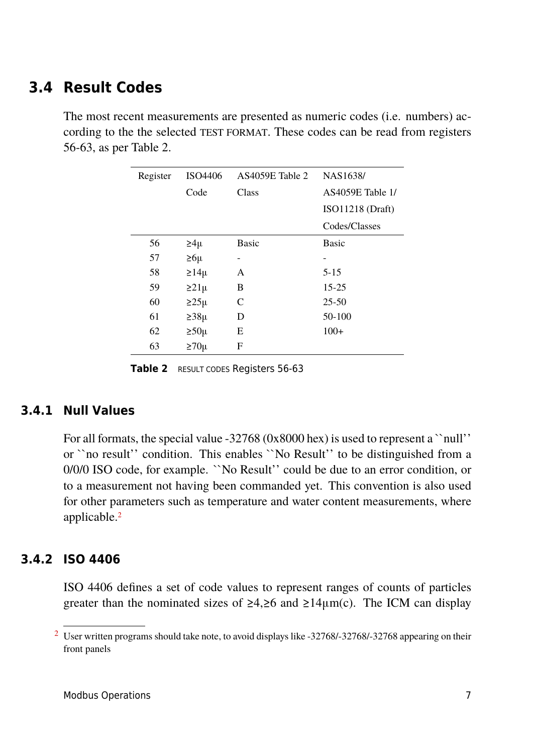# <span id="page-6-0"></span>**3.4 Result Codes**

The most recent measurements are presented as numeric codes (i.e. numbers) according to the the selected TEST FORMAT. These codes can be read from registers 56-63, as per Table 2.

| Register | ISO4406      | AS4059E Table 2          | NAS1638/         |
|----------|--------------|--------------------------|------------------|
|          | Code         | Class                    | AS4059E Table 1/ |
|          |              |                          | ISO11218 (Draff) |
|          |              |                          | Codes/Classes    |
| 56       | $\geq 4\mu$  | <b>Basic</b>             | <b>Basic</b>     |
| 57       | $\geq 6\mu$  | $\overline{\phantom{0}}$ |                  |
| 58       | $\geq 14\mu$ | A                        | $5 - 15$         |
| 59       | $\geq$ 21µ   | B                        | $15 - 25$        |
| 60       | $\geq$ 25µ   | C                        | $25 - 50$        |
| 61       | $\geq$ 38µ   | D                        | 50-100           |
| 62       | $\geq 50\mu$ | Ε                        | $100+$           |
| 63       | $\geq 70\mu$ | $\boldsymbol{F}$         |                  |

Table 2 **RESULT CODES Registers 56-63** 

#### **3.4.1 Null Values**

For all formats, the special value -32768 (0x8000 hex) is used to represent a ``null'' or ``no result'' condition. This enables ``No Result'' to be distinguished from a 0/0/0 ISO code, for example. ``No Result'' could be due to an error condition, or to a measurement not having been commanded yet. This convention is also used for other parameters such as temperature and water content measurements, where applicable.<sup>2</sup>

#### **3.4.2 ISO 4406**

ISO 4406 defines a set of code values to represent ranges of counts of particles greater than the nominated sizes of  $\geq 4, \geq 6$  and  $\geq 14 \mu m(c)$ . The ICM can display

<sup>&</sup>lt;sup>2</sup> User written programs should take note, to avoid displays like -32768/-32768/-32768 appearing on their front panels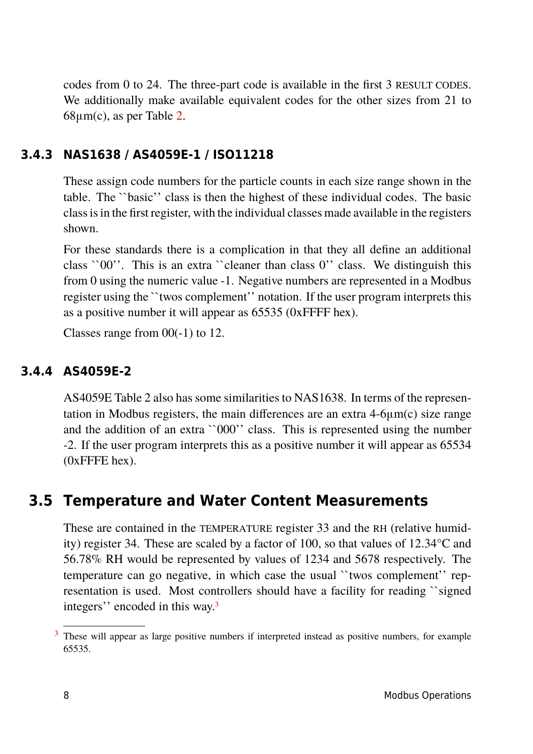codes from 0 to 24. The three-part code is available in the first 3 RESULT CODES. We additionally make available equivalent codes for the other sizes from 21 to  $68\mu$ m(c), as per Table [2.](#page-6-0)

#### **3.4.3 NAS1638 / AS4059E-1 / ISO11218**

These assign code numbers for the particle counts in each size range shown in the table. The ``basic'' class is then the highest of these individual codes. The basic class is in the first register, with the individual classes made available in the registers shown.

For these standards there is a complication in that they all define an additional class ``00''. This is an extra ``cleaner than class 0'' class. We distinguish this from 0 using the numeric value -1. Negative numbers are represented in a Modbus register using the ``twos complement'' notation. If the user program interprets this as a positive number it will appear as 65535 (0xFFFF hex).

Classes range from 00(-1) to 12.

#### **3.4.4 AS4059E-2**

AS4059E Table 2 also has some similarities to NAS1638. In terms of the representation in Modbus registers, the main differences are an extra 4-6μm(c) size range and the addition of an extra ``000'' class. This is represented using the number -2. If the user program interprets this as a positive number it will appear as 65534 (0xFFFE hex).

# **3.5 Temperature and Water Content Measurements**

These are contained in the TEMPERATURE register 33 and the RH (relative humidity) register 34. These are scaled by a factor of 100, so that values of 12.34°C and 56.78% RH would be represented by values of 1234 and 5678 respectively. The temperature can go negative, in which case the usual ``twos complement'' representation is used. Most controllers should have a facility for reading ``signed integers'' encoded in this way.<sup>3</sup>

<sup>&</sup>lt;sup>3</sup> These will appear as large positive numbers if interpreted instead as positive numbers, for example 65535.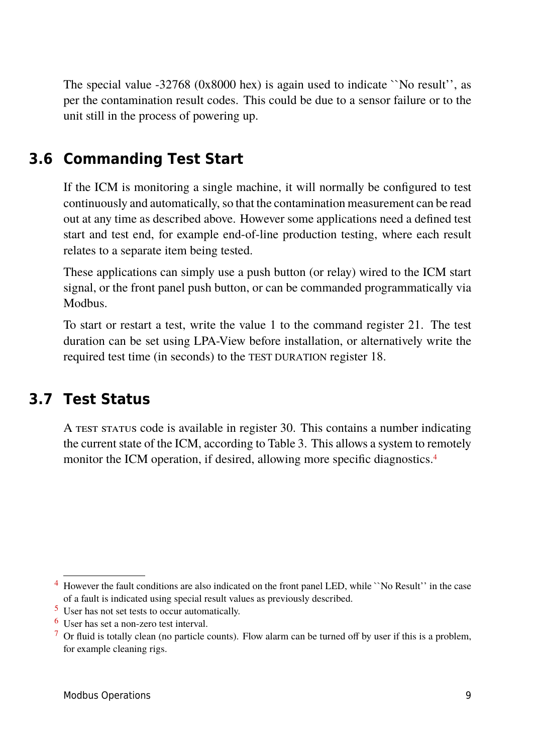The special value -32768 (0x8000 hex) is again used to indicate ``No result'', as per the contamination result codes. This could be due to a sensor failure or to the unit still in the process of powering up.

# **3.6 Commanding Test Start**

If the ICM is monitoring a single machine, it will normally be configured to test continuously and automatically, so that the contamination measurement can be read out at any time as described above. However some applications need a defined test start and test end, for example end-of-line production testing, where each result relates to a separate item being tested.

These applications can simply use a push button (or relay) wired to the ICM start signal, or the front panel push button, or can be commanded programmatically via Modbus.

To start or restart a test, write the value 1 to the command register 21. The test duration can be set using LPA-View before installation, or alternatively write the required test time (in seconds) to the TEST DURATION register 18.

# **3.7 Test Status**

A TEST STATUS code is available in register 30. This contains a number indicating the current state of the ICM, according to Table [3.](#page-9-0) This allows a system to remotely monitor the ICM operation, if desired, allowing more specific diagnostics.<sup>4</sup>

<sup>4</sup> However the fault conditions are also indicated on the front panel LED, while ``No Result'' in the case of a fault is indicated using special result values as previously described.

[<sup>5</sup>](#page-9-0) User has not set tests to occur automatically.

[<sup>6</sup>](#page-9-0) User has set a non-zero test interval.

 $<sup>7</sup>$  $<sup>7</sup>$  $<sup>7</sup>$  Or fluid is totally clean (no particle counts). Flow alarm can be turned off by user if this is a problem,</sup> for example cleaning rigs.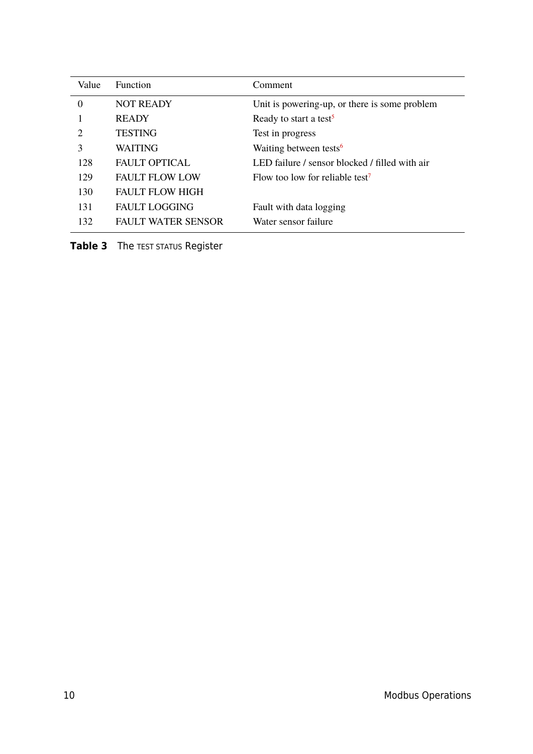<span id="page-9-0"></span>

| Value                       | <b>Function</b>           | Comment                                        |
|-----------------------------|---------------------------|------------------------------------------------|
| $\Omega$                    | <b>NOT READY</b>          | Unit is powering-up, or there is some problem  |
|                             | <b>READY</b>              | Ready to start a test <sup>5</sup>             |
| $\mathcal{D}_{\mathcal{L}}$ | <b>TESTING</b>            | Test in progress                               |
| 3                           | <b>WAITING</b>            | Waiting between tests <sup>6</sup>             |
| 128                         | <b>FAULT OPTICAL</b>      | LED failure / sensor blocked / filled with air |
| 129                         | <b>FAULT FLOW LOW</b>     | Flow too low for reliable test <sup>7</sup>    |
| 130                         | <b>FAULT FLOW HIGH</b>    |                                                |
| 131                         | <b>FAULT LOGGING</b>      | Fault with data logging                        |
| 132                         | <b>FAULT WATER SENSOR</b> | Water sensor failure                           |

**Table 3** The TEST STATUS Register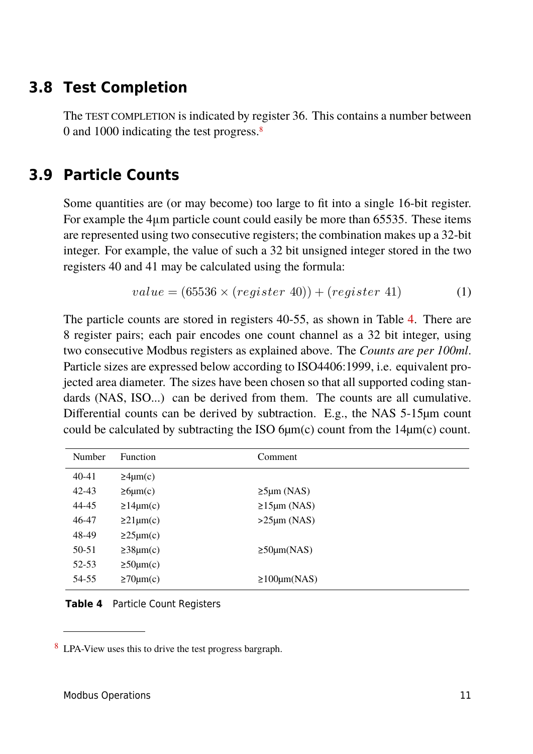# **3.8 Test Completion**

The TEST COMPLETION is indicated by register 36. This contains a number between 0 and 1000 indicating the test progress.<sup>8</sup>

# **3.9 Particle Counts**

Some quantities are (or may become) too large to fit into a single 16-bit register. For example the 4μm particle count could easily be more than 65535. These items are represented using two consecutive registers; the combination makes up a 32-bit integer. For example, the value of such a 32 bit unsigned integer stored in the two registers 40 and 41 may be calculated using the formula:

$$
value = (65536 \times (register\ 40)) + (register\ 41) \tag{1}
$$

The particle counts are stored in registers 40-55, as shown in Table 4. There are 8 register pairs; each pair encodes one count channel as a 32 bit integer, using two consecutive Modbus registers as explained above. The *Counts are per 100ml*. Particle sizes are expressed below according to ISO4406:1999, i.e. equivalent projected area diameter. The sizes have been chosen so that all supported coding standards (NAS, ISO...) can be derived from them. The counts are all cumulative. Differential counts can be derived by subtraction. E.g., the NAS 5-15µm count could be calculated by subtracting the ISO  $6\mu$ m(c) count from the 14 $\mu$ m(c) count.

| Number    | <b>Function</b>      | Comment                       |
|-----------|----------------------|-------------------------------|
| 40-41     | $\geq 4 \mu m(c)$    |                               |
| $42 - 43$ | $\geq 6 \mu m(c)$    | $\geq$ 5µm (NAS)              |
| 44-45     | $\geq 14 \mu m(c)$   | $\geq 15 \mu m \text{ (NAS)}$ |
| 46-47     | $\geq$ 21µm(c)       | $>25 \mu m (NAS)$             |
| 48-49     | $\geq$ 25 $\mu$ m(c) |                               |
| 50-51     | $\geq$ 38 $\mu$ m(c) | $\geq$ 50 $\mu$ m(NAS)        |
| 52-53     | $\geq 50 \mu m(c)$   |                               |
| 54-55     | $\geq 70 \mu m(c)$   | $\geq 100 \mu m(NAS)$         |

**Table 4** Particle Count Registers

<sup>8</sup> LPA-View uses this to drive the test progress bargraph.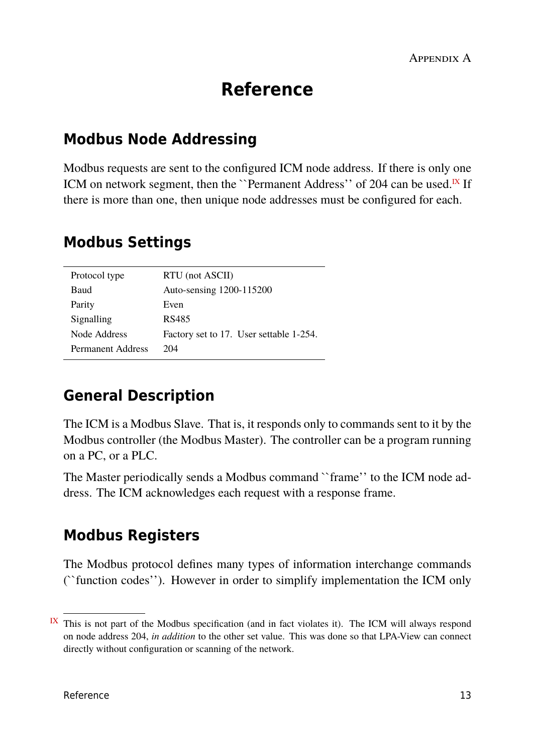# **Reference**

# **Modbus Node Addressing**

Modbus requests are sent to the configured ICM node address. If there is only one ICM on network segment, then the ``Permanent Address'' of 204 can be used.<sup>IX</sup> If there is more than one, then unique node addresses must be configured for each.

# **Modbus Settings**

| Protocol type     | RTU (not ASCII)                         |
|-------------------|-----------------------------------------|
| Baud              | Auto-sensing 1200-115200                |
| Parity            | Even                                    |
| Signalling        | RS485                                   |
| Node Address      | Factory set to 17. User settable 1-254. |
| Permanent Address | 204                                     |
|                   |                                         |

# **General Description**

The ICM is a Modbus Slave. That is, it responds only to commands sent to it by the Modbus controller (the Modbus Master). The controller can be a program running on a PC, or a PLC.

The Master periodically sends a Modbus command ``frame'' to the ICM node address. The ICM acknowledges each request with a response frame.

# **Modbus Registers**

The Modbus protocol defines many types of information interchange commands (``function codes''). However in order to simplify implementation the ICM only

 $I<sup>X</sup>$  This is not part of the Modbus specification (and in fact violates it). The ICM will always respond on node address 204, *in addition* to the other set value. This was done so that LPA-View can connect directly without configuration or scanning of the network.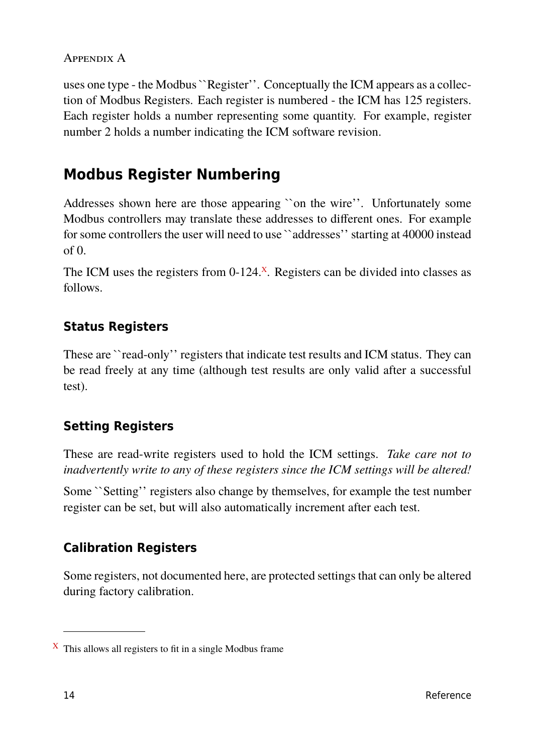uses one type - the Modbus ``Register''. Conceptually the ICM appears as a collection of Modbus Registers. Each register is numbered - the ICM has 125 registers. Each register holds a number representing some quantity. For example, register number 2 holds a number indicating the ICM software revision.

# **Modbus Register Numbering**

Addresses shown here are those appearing ``on the wire''. Unfortunately some Modbus controllers may translate these addresses to different ones. For example for some controllers the user will need to use ``addresses'' starting at 40000 instead of 0.

The ICM uses the registers from  $0-124$ .<sup>X</sup>. Registers can be divided into classes as follows.

## **Status Registers**

These are ``read-only'' registers that indicate test results and ICM status. They can be read freely at any time (although test results are only valid after a successful test).

# **Setting Registers**

These are read-write registers used to hold the ICM settings. *Take care not to inadvertently write to any of these registers since the ICM settings will be altered!*

Some ``Setting'' registers also change by themselves, for example the test number register can be set, but will also automatically increment after each test.

# **Calibration Registers**

Some registers, not documented here, are protected settings that can only be altered during factory calibration.

 $X$  This allows all registers to fit in a single Modbus frame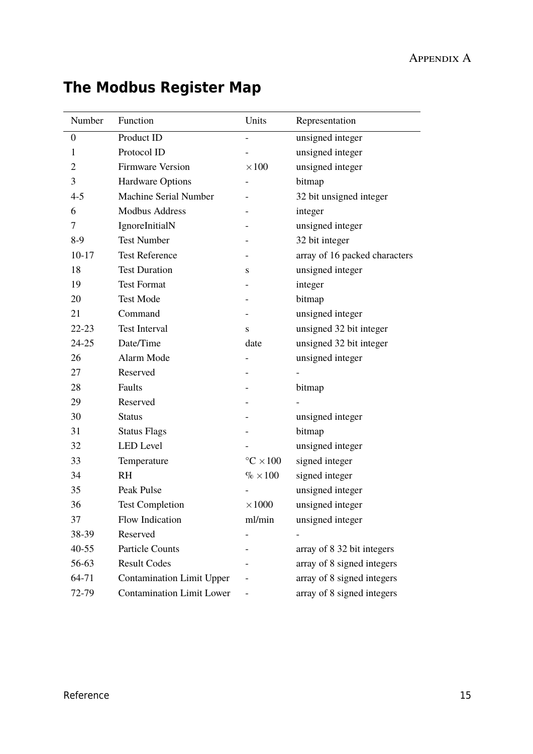| Number           | Function                         | Units                           | Representation                |
|------------------|----------------------------------|---------------------------------|-------------------------------|
| $\boldsymbol{0}$ | Product ID                       |                                 | unsigned integer              |
| 1                | Protocol ID                      |                                 | unsigned integer              |
| $\overline{2}$   | <b>Firmware Version</b>          | $\times 100$                    | unsigned integer              |
| 3                | <b>Hardware Options</b>          |                                 | bitmap                        |
| $4 - 5$          | <b>Machine Serial Number</b>     |                                 | 32 bit unsigned integer       |
| 6                | <b>Modbus Address</b>            |                                 | integer                       |
| 7                | IgnoreInitialN                   |                                 | unsigned integer              |
| $8-9$            | <b>Test Number</b>               |                                 | 32 bit integer                |
| $10 - 17$        | <b>Test Reference</b>            |                                 | array of 16 packed characters |
| 18               | <b>Test Duration</b>             | S                               | unsigned integer              |
| 19               | <b>Test Format</b>               | $\overline{\phantom{0}}$        | integer                       |
| 20               | <b>Test Mode</b>                 |                                 | bitmap                        |
| 21               | Command                          |                                 | unsigned integer              |
| $22 - 23$        | <b>Test Interval</b>             | S                               | unsigned 32 bit integer       |
| $24 - 25$        | Date/Time                        | date                            | unsigned 32 bit integer       |
| 26               | Alarm Mode                       |                                 | unsigned integer              |
| 27               | Reserved                         |                                 |                               |
| 28               | Faults                           |                                 | bitmap                        |
| 29               | Reserved                         |                                 |                               |
| 30               | <b>Status</b>                    |                                 | unsigned integer              |
| 31               | <b>Status Flags</b>              |                                 | bitmap                        |
| 32               | <b>LED</b> Level                 |                                 | unsigned integer              |
| 33               | Temperature                      | $\mathrm{^{\circ}C} \times 100$ | signed integer                |
| 34               | <b>RH</b>                        | $\% \times 100$                 | signed integer                |
| 35               | <b>Peak Pulse</b>                |                                 | unsigned integer              |
| 36               | <b>Test Completion</b>           | $\times 1000$                   | unsigned integer              |
| 37               | Flow Indication                  | ml/min                          | unsigned integer              |
| 38-39            | Reserved                         |                                 |                               |
| $40 - 55$        | <b>Particle Counts</b>           |                                 | array of 8 32 bit integers    |
| 56-63            | <b>Result Codes</b>              |                                 | array of 8 signed integers    |
| 64-71            | <b>Contamination Limit Upper</b> |                                 | array of 8 signed integers    |
| 72-79            | <b>Contamination Limit Lower</b> |                                 | array of 8 signed integers    |

# **The Modbus Register Map**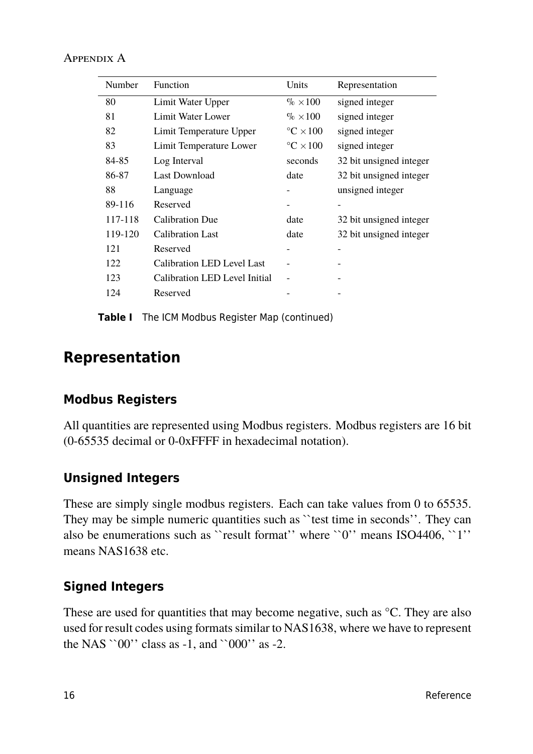| Number  | Function                          | Units                           | Representation          |
|---------|-----------------------------------|---------------------------------|-------------------------|
| 80      | Limit Water Upper                 | $\% \times 100$                 | signed integer          |
| 81      | Limit Water Lower                 | $\% \times 100$                 | signed integer          |
| 82      | Limit Temperature Upper           | $\mathrm{^{\circ}C} \times 100$ | signed integer          |
| 83      | Limit Temperature Lower           | $\mathrm{^{\circ}C} \times 100$ | signed integer          |
| 84-85   | Log Interval                      | seconds                         | 32 bit unsigned integer |
| 86-87   | <b>Last Download</b>              | date                            | 32 bit unsigned integer |
| 88      | Language                          |                                 | unsigned integer        |
| 89-116  | Reserved                          |                                 |                         |
| 117-118 | <b>Calibration Due</b>            | date                            | 32 bit unsigned integer |
| 119-120 | <b>Calibration Last</b>           | date                            | 32 bit unsigned integer |
| 121     | Reserved                          |                                 |                         |
| 122     | <b>Calibration LED Level Last</b> |                                 |                         |
| 123     | Calibration LED Level Initial     |                                 |                         |
| 124     | Reserved                          |                                 |                         |

**Table I** The ICM Modbus Register Map (continued)

# **Representation**

#### **Modbus Registers**

All quantities are represented using Modbus registers. Modbus registers are 16 bit (0-65535 decimal or 0-0xFFFF in hexadecimal notation).

#### **Unsigned Integers**

These are simply single modbus registers. Each can take values from 0 to 65535. They may be simple numeric quantities such as ``test time in seconds''. They can also be enumerations such as "result format" where " $0$ " means ISO4406, "1" means NAS1638 etc.

#### **Signed Integers**

These are used for quantities that may become negative, such as <sup>o</sup>C. They are also used for result codes using formats similar to NAS1638, where we have to represent the NAS `` $00$ '' class as -1, and `` $000$ '' as -2.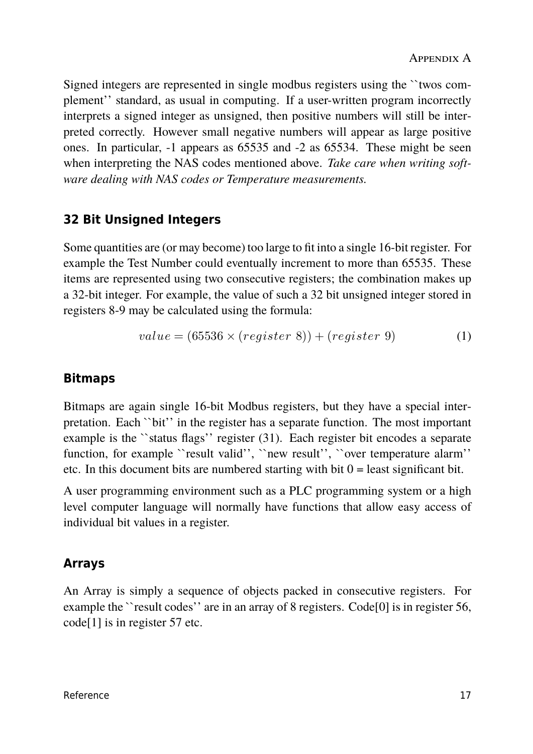Signed integers are represented in single modbus registers using the ``twos complement'' standard, as usual in computing. If a user-written program incorrectly interprets a signed integer as unsigned, then positive numbers will still be interpreted correctly. However small negative numbers will appear as large positive ones. In particular, -1 appears as 65535 and -2 as 65534. These might be seen when interpreting the NAS codes mentioned above. *Take care when writing software dealing with NAS codes or Temperature measurements.*

## **32 Bit Unsigned Integers**

Some quantities are (or may become) too large to fit into a single 16-bit register. For example the Test Number could eventually increment to more than 65535. These items are represented using two consecutive registers; the combination makes up a 32-bit integer. For example, the value of such a 32 bit unsigned integer stored in registers 8-9 may be calculated using the formula:

$$
value = (65536 \times (register\ 8)) + (register\ 9)
$$
 (1)

#### **Bitmaps**

Bitmaps are again single 16-bit Modbus registers, but they have a special interpretation. Each ``bit'' in the register has a separate function. The most important example is the ``status flags'' register (31). Each register bit encodes a separate function, for example "result valid", "new result", "over temperature alarm" etc. In this document bits are numbered starting with bit  $0 =$  least significant bit.

A user programming environment such as a PLC programming system or a high level computer language will normally have functions that allow easy access of individual bit values in a register.

# **Arrays**

An Array is simply a sequence of objects packed in consecutive registers. For example the ``result codes'' are in an array of 8 registers. Code<sup>[0]</sup> is in register 56, code[1] is in register 57 etc.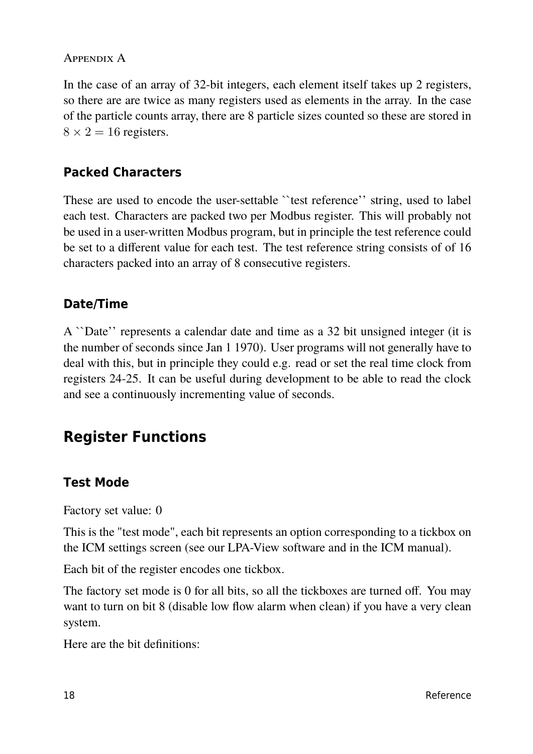In the case of an array of 32-bit integers, each element itself takes up 2 registers, so there are are twice as many registers used as elements in the array. In the case of the particle counts array, there are 8 particle sizes counted so these are stored in  $8 \times 2 = 16$  registers.

## **Packed Characters**

These are used to encode the user-settable "test reference" string, used to label each test. Characters are packed two per Modbus register. This will probably not be used in a user-written Modbus program, but in principle the test reference could be set to a different value for each test. The test reference string consists of of 16 characters packed into an array of 8 consecutive registers.

## **Date/Time**

A ``Date'' represents a calendar date and time as a 32 bit unsigned integer (it is the number of seconds since Jan 1 1970). User programs will not generally have to deal with this, but in principle they could e.g. read or set the real time clock from registers 24-25. It can be useful during development to be able to read the clock and see a continuously incrementing value of seconds.

# **Register Functions**

#### **Test Mode**

Factory set value: 0

This is the "test mode", each bit represents an option corresponding to a tickbox on the ICM settings screen (see our LPA-View software and in the ICM manual).

Each bit of the register encodes one tickbox.

The factory set mode is 0 for all bits, so all the tickboxes are turned off. You may want to turn on bit 8 (disable low flow alarm when clean) if you have a very clean system.

Here are the bit definitions: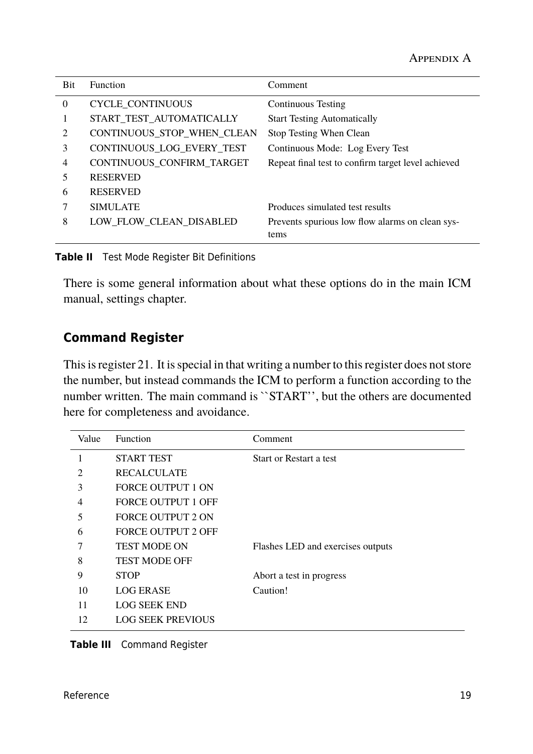| <b>Bit</b>                  | <b>Function</b>            | Comment                                                 |
|-----------------------------|----------------------------|---------------------------------------------------------|
| $\theta$                    | <b>CYCLE_CONTINUOUS</b>    | <b>Continuous Testing</b>                               |
|                             | START_TEST_AUTOMATICALLY   | <b>Start Testing Automatically</b>                      |
| $\mathcal{D}_{\mathcal{L}}$ | CONTINUOUS_STOP_WHEN_CLEAN | Stop Testing When Clean                                 |
| 3                           | CONTINUOUS_LOG_EVERY_TEST  | Continuous Mode: Log Every Test                         |
| 4                           | CONTINUOUS CONFIRM TARGET  | Repeat final test to confirm target level achieved      |
| 5                           | <b>RESERVED</b>            |                                                         |
| 6                           | <b>RESERVED</b>            |                                                         |
|                             | <b>SIMULATE</b>            | Produces simulated test results                         |
| 8                           | LOW FLOW CLEAN DISABLED    | Prevents spurious low flow alarms on clean sys-<br>tems |
|                             |                            |                                                         |

**Table II** Test Mode Register Bit Definitions

There is some general information about what these options do in the main ICM manual, settings chapter.

## **Command Register**

This is register 21. It is special in that writing a number to this register does not store the number, but instead commands the ICM to perform a function according to the number written. The main command is "START", but the others are documented here for completeness and avoidance.

| Value | <b>Function</b>           | Comment                           |
|-------|---------------------------|-----------------------------------|
| 1     | <b>START TEST</b>         | Start or Restart a test           |
| 2     | <b>RECALCULATE</b>        |                                   |
| 3     | <b>FORCE OUTPUT 1 ON</b>  |                                   |
| 4     | <b>FORCE OUTPUT 1 OFF</b> |                                   |
| 5     | <b>FORCE OUTPUT 2 ON</b>  |                                   |
| 6     | <b>FORCE OUTPUT 2 OFF</b> |                                   |
|       | <b>TEST MODE ON</b>       | Flashes LED and exercises outputs |
| 8     | <b>TEST MODE OFF</b>      |                                   |
| 9     | <b>STOP</b>               | Abort a test in progress          |
| 10    | <b>LOG ERASE</b>          | Caution!                          |
| 11    | <b>LOG SEEK END</b>       |                                   |
| 12    | <b>LOG SEEK PREVIOUS</b>  |                                   |

**Table III** Command Register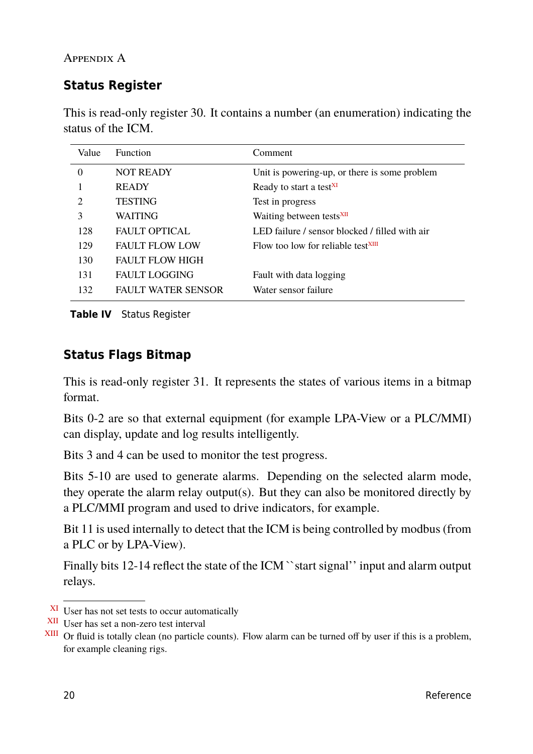# <span id="page-19-0"></span>**Status Register**

This is read-only register 30. It contains a number (an enumeration) indicating the status of the ICM.

| Value    | <b>Function</b>           | Comment                                        |
|----------|---------------------------|------------------------------------------------|
| $\Omega$ | <b>NOT READY</b>          | Unit is powering-up, or there is some problem  |
|          | <b>READY</b>              | Ready to start a test <sup>XI</sup>            |
| 2        | <b>TESTING</b>            | Test in progress                               |
| 3        | <b>WAITING</b>            | Waiting between tests <sup>XII</sup>           |
| 128      | <b>FAULT OPTICAL</b>      | LED failure / sensor blocked / filled with air |
| 129      | <b>FAULT FLOW LOW</b>     | Flow too low for reliable test <sup>XIII</sup> |
| 130      | <b>FAULT FLOW HIGH</b>    |                                                |
| 131      | <b>FAULT LOGGING</b>      | Fault with data logging                        |
| 132      | <b>FAULT WATER SENSOR</b> | Water sensor failure                           |
|          |                           |                                                |

**Table IV** Status Register

## **Status Flags Bitmap**

This is read-only register 31. It represents the states of various items in a bitmap format.

Bits 0-2 are so that external equipment (for example LPA-View or a PLC/MMI) can display, update and log results intelligently.

Bits 3 and 4 can be used to monitor the test progress.

Bits 5-10 are used to generate alarms. Depending on the selected alarm mode, they operate the alarm relay output(s). But they can also be monitored directly by a PLC/MMI program and used to drive indicators, for example.

Bit 11 is used internally to detect that the ICM is being controlled by modbus (from a PLC or by LPA-View).

Finally bits 12-14 reflect the state of the ICM "start signal" input and alarm output relays.

XI User has not set tests to occur automatically

XII User has set a non-zero test interval

XIII Or fluid is totally clean (no particle counts). Flow alarm can be turned off by user if this is a problem, for example cleaning rigs.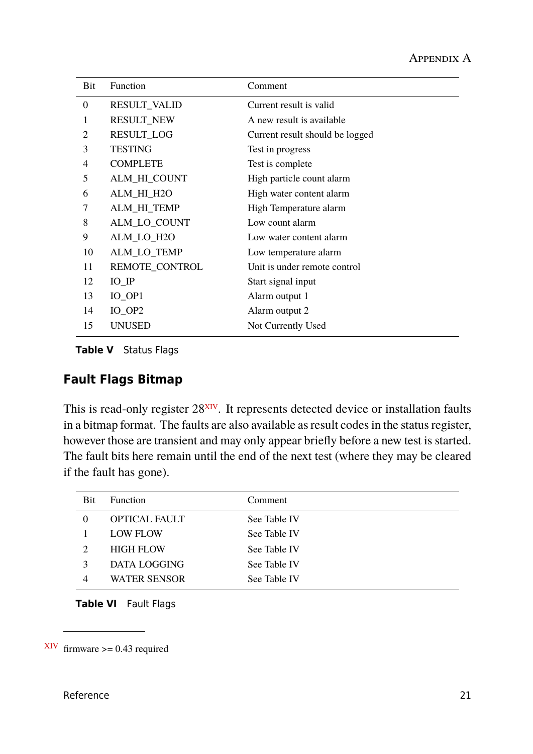| Bit            | <b>Function</b>     | Comment                         |
|----------------|---------------------|---------------------------------|
| $\overline{0}$ | <b>RESULT_VALID</b> | Current result is valid         |
| 1              | RESULT_NEW          | A new result is available       |
| 2              | <b>RESULT_LOG</b>   | Current result should be logged |
| 3              | <b>TESTING</b>      | Test in progress                |
| 4              | <b>COMPLETE</b>     | Test is complete                |
| 5              | ALM_HI_COUNT        | High particle count alarm       |
| 6              | ALM_HI_H2O          | High water content alarm        |
| 7              | ALM_HI_TEMP         | High Temperature alarm          |
| 8              | ALM_LO_COUNT        | Low count alarm                 |
| 9              | ALM_LO_H2O          | Low water content alarm         |
| 10             | ALM_LO_TEMP         | Low temperature alarm           |
| 11             | REMOTE_CONTROL      | Unit is under remote control    |
| 12             | $IO$ $IP$           | Start signal input              |
| 13             | $IO$ <sub>OP1</sub> | Alarm output 1                  |
| 14             | $IO$ <sub>OP2</sub> | Alarm output 2                  |
| 15             | <b>UNUSED</b>       | Not Currently Used              |

**Table V** Status Flags

#### **Fault Flags Bitmap**

This is read-only register 28<sup>XIV</sup>. It represents detected device or installation faults in a bitmap format. The faults are also available as result codes in the status register, however those are transient and may only appear briefly before a new test is started. The fault bits here remain until the end of the next test (where they may be cleared if the fault has gone).

| Bit | <b>Function</b>      | Comment      |  |
|-----|----------------------|--------------|--|
|     | <b>OPTICAL FAULT</b> | See Table IV |  |
|     | <b>LOW FLOW</b>      | See Table IV |  |
|     | <b>HIGH FLOW</b>     | See Table IV |  |
|     | DATA LOGGING         | See Table IV |  |
|     | <b>WATER SENSOR</b>  | See Table IV |  |

**Table VI** Fault Flags

 $XIV$  firmware  $> = 0.43$  required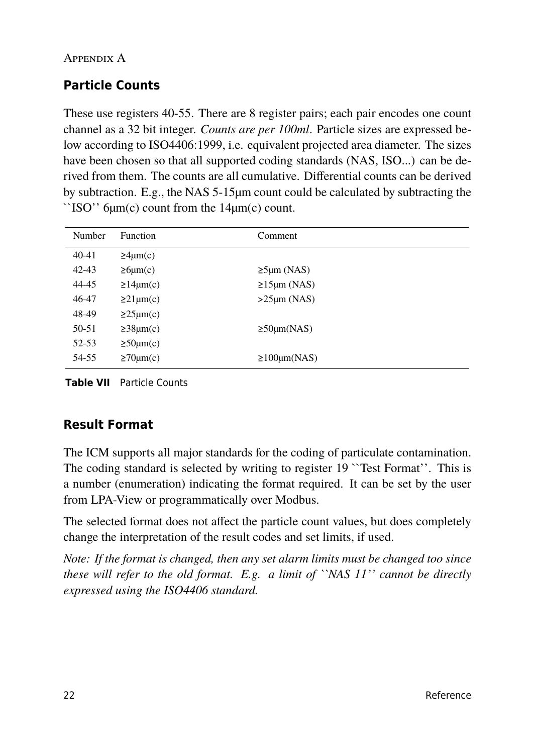# **Particle Counts**

These use registers 40-55. There are 8 register pairs; each pair encodes one count channel as a 32 bit integer. *Counts are per 100ml*. Particle sizes are expressed below according to ISO4406:1999, i.e. equivalent projected area diameter. The sizes have been chosen so that all supported coding standards (NAS, ISO...) can be derived from them. The counts are all cumulative. Differential counts can be derived by subtraction. E.g., the NAS 5-15µm count could be calculated by subtracting the ``ISO'' 6µm(c) count from the 14µm(c) count.

| Number    | <b>Function</b>      | Comment                       |
|-----------|----------------------|-------------------------------|
| $40 - 41$ | $\geq 4 \mu m(c)$    |                               |
| $42 - 43$ | $\geq 6 \mu m(c)$    | $\geq$ 5µm (NAS)              |
| 44-45     | $\geq 14 \mu m(c)$   | $\geq 15 \mu m \text{ (NAS)}$ |
| 46-47     | $\geq$ 21 $\mu$ m(c) | $>25 \mu m (NAS)$             |
| 48-49     | $\geq$ 25 $\mu$ m(c) |                               |
| 50-51     | $\geq 38 \mu m(c)$   | $\geq$ 50 $\mu$ m(NAS)        |
| 52-53     | $\geq 50 \mu m(c)$   |                               |
| 54-55     | $\geq 70 \mu m(c)$   | $\geq 100 \mu m(NAS)$         |

**Table VII** Particle Counts

# **Result Format**

The ICM supports all major standards for the coding of particulate contamination. The coding standard is selected by writing to register 19 ``Test Format''. This is a number (enumeration) indicating the format required. It can be set by the user from LPA-View or programmatically over Modbus.

The selected format does not affect the particle count values, but does completely change the interpretation of the result codes and set limits, if used.

*Note: If the format is changed, then any set alarm limits must be changed too since these will refer to the old format. E.g. a limit of ``NAS 11'' cannot be directly expressed using the ISO4406 standard.*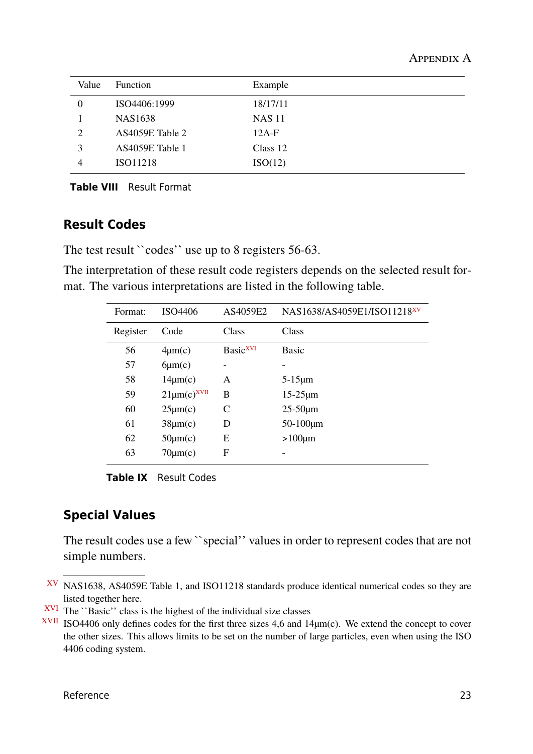| Value | <b>Function</b>     | Example       |  |
|-------|---------------------|---------------|--|
|       | ISO4406:1999        | 18/17/11      |  |
|       | NAS <sub>1638</sub> | <b>NAS 11</b> |  |
| 2     | AS4059E Table 2     | $12A-F$       |  |
| 3     | AS4059E Table 1     | Class 12      |  |
| 4     | ISO11218            | ISO(12)       |  |
|       |                     |               |  |

**Table VIII** Result Format

#### **Result Codes**

The test result ``codes'' use up to 8 registers 56-63.

The interpretation of these result code registers depends on the selected result format. The various interpretations are listed in the following table.

| Format:  | ISO4406              | AS4059E2             | NAS1638/AS4059E1/ISO11218XV |
|----------|----------------------|----------------------|-----------------------------|
| Register | Code                 | Class                | Class                       |
| 56       | $4\mu$ m(c)          | Basic <sup>XVI</sup> | <b>Basic</b>                |
| 57       | $6\mu m(c)$          |                      |                             |
| 58       | $14\mu$ m $(c)$      | A                    | $5-15\mu m$                 |
| 59       | $21 \mu m(c)^{XVII}$ | B                    | $15-25 \mu m$               |
| 60       | $25\mu m(c)$         | C                    | $25-50 \mu m$               |
| 61       | $38\mu$ m(c)         | D                    | $50 - 100 \mu m$            |
| 62       | $50 \mu m(c)$        | E                    | $>100 \mu m$                |
| 63       | $70 \mu m(c)$        | F                    |                             |

**Table IX** Result Codes

#### **Special Values**

The result codes use a few ``special'' values in order to represent codes that are not simple numbers.

XV NAS1638, AS4059E Table 1, and ISO11218 standards produce identical numerical codes so they are listed together here.

 $XVI$  The  $\lq$ Basic'' class is the highest of the individual size classes

 $XVII$  ISO4406 only defines codes for the first three sizes 4,6 and 14 $\mu$ m(c). We extend the concept to cover the other sizes. This allows limits to be set on the number of large particles, even when using the ISO 4406 coding system.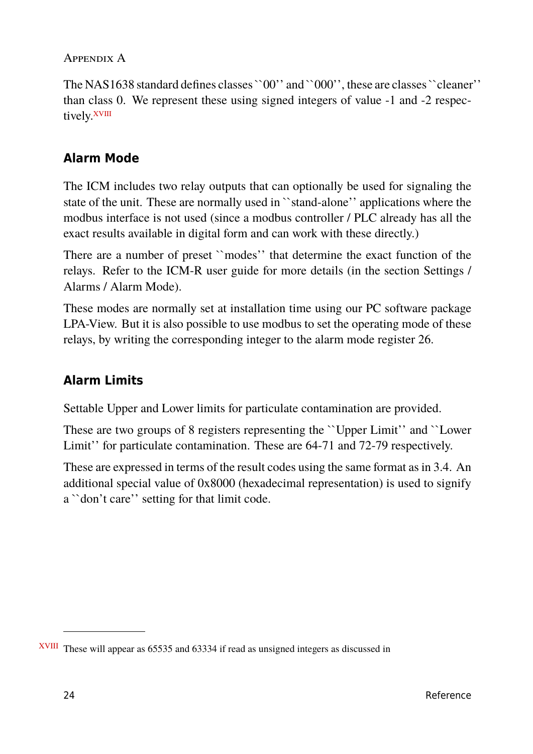The NAS1638 standard defines classes ``00'' and ``000'', these are classes ``cleaner'' than class 0. We represent these using signed integers of value -1 and -2 respectively.<sup>XVIII</sup>

# **Alarm Mode**

The ICM includes two relay outputs that can optionally be used for signaling the state of the unit. These are normally used in ``stand-alone'' applications where the modbus interface is not used (since a modbus controller / PLC already has all the exact results available in digital form and can work with these directly.)

There are a number of preset ``modes'' that determine the exact function of the relays. Refer to the ICM-R user guide for more details (in the section Settings / Alarms / Alarm Mode).

These modes are normally set at installation time using our PC software package LPA-View. But it is also possible to use modbus to set the operating mode of these relays, by writing the corresponding integer to the alarm mode register 26.

# **Alarm Limits**

Settable Upper and Lower limits for particulate contamination are provided.

These are two groups of 8 registers representing the ``Upper Limit'' and ``Lower Limit'' for particulate contamination. These are 64-71 and 72-79 respectively.

These are expressed in terms of the result codes using the same format asin [3.4.](#page-6-0) An additional special value of 0x8000 (hexadecimal representation) is used to signify a ``don't care'' setting for that limit code.

XVIII These will appear as 65535 and 63334 if read as unsigned integers as discussed in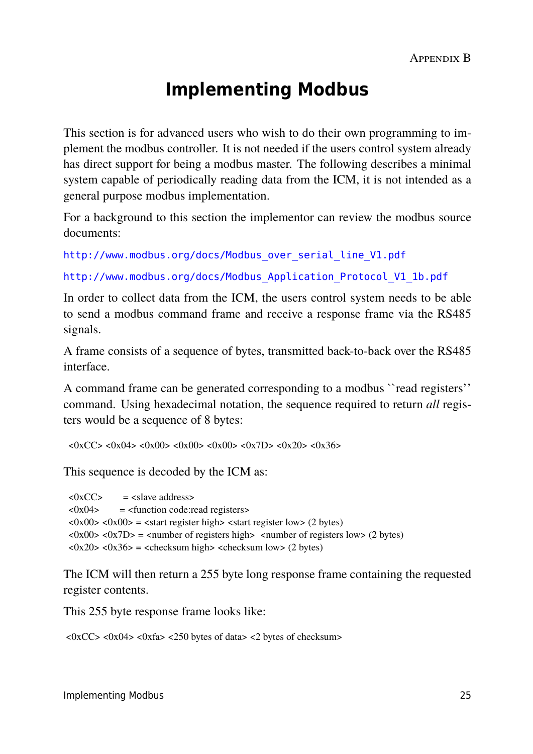# **Implementing Modbus**

This section is for advanced users who wish to do their own programming to implement the modbus controller. It is not needed if the users control system already has direct support for being a modbus master. The following describes a minimal system capable of periodically reading data from the ICM, it is not intended as a general purpose modbus implementation.

For a background to this section the implementor can review the modbus source documents:

[http://www.modbus.org/docs/Modbus\\_over\\_serial\\_line\\_V1.pdf](http://www.modbus.org/docs/Modbus_over_serial_line_V1.pdf)

[http://www.modbus.org/docs/Modbus\\_Application\\_Protocol\\_V1\\_1b.pdf](http://www.modbus.org/docs/Modbus_Application_Protocol_V1_1b.pdf)

In order to collect data from the ICM, the users control system needs to be able to send a modbus command frame and receive a response frame via the RS485 signals.

A frame consists of a sequence of bytes, transmitted back-to-back over the RS485 interface.

A command frame can be generated corresponding to a modbus ``read registers'' command. Using hexadecimal notation, the sequence required to return *all* registers would be a sequence of 8 bytes:

<0xCC> <0x04> <0x00> <0x00> <0x00> <0x7D> <0x20> <0x36>

This sequence is decoded by the ICM as:

 $\langle 0xCC \rangle$  =  $\langle 0xCC \rangle$  =  $\langle 0xCC \rangle$  =  $\langle 0xCC \rangle$  =  $\langle 0xCC \rangle$  =  $\langle 0xCC \rangle$  =  $\langle 0xCC \rangle$  =  $\langle 0xCC \rangle$  =  $\langle 0xCC \rangle$  =  $\langle 0xCC \rangle$  =  $\langle 0xCC \rangle$  =  $\langle 0xCC \rangle$  =  $\langle 0xCC \rangle$  =  $\langle 0xCC \rangle$  =  $\langle 0xCC \rangle$  =  $\langle 0xCC \rangle$  =  $\langle 0xCC \rangle$  =  $\langle 0x04 \rangle$  =  $\langle 0x04 \rangle$  =  $\langle 0x04 \rangle$  =  $\langle 0x04 \rangle$  =  $\langle 0x04 \rangle$  =  $\langle 0x04 \rangle$  =  $\langle 0x04 \rangle$  =  $\langle 0x04 \rangle$  =  $\langle 0x04 \rangle$  =  $\langle 0x04 \rangle$  =  $\langle 0x04 \rangle$  =  $\langle 0x04 \rangle$  =  $\langle 0x04 \rangle$  =  $\langle 0x04 \rangle$  =  $\langle 0x04 \rangle$  =  $\langle 0x04 \rangle$  $\langle 0x00 \rangle$  <  $0x00 \rangle$  =  $\langle 0x00 \rangle$  =  $\langle 0x00 \rangle$  =  $\langle 0x00 \rangle$   $\langle 0x00 \rangle$  =  $\langle 0x00 \rangle$  =  $\langle 0x00 \rangle$  =  $\langle 0x00 \rangle$  =  $\langle 0x00 \rangle$  =  $\langle 0x00 \rangle$  =  $\langle 0x00 \rangle$  =  $\langle 0x00 \rangle$  =  $\langle 0x00 \rangle$  =  $\langle 0x00 \rangle$  =  $\langle 0x00 \rangle$  =  $\$  $\langle 0x00 \rangle \langle 0x7D \rangle = \langle 0x00 \rangle$  =  $\langle 0x00 \rangle$  of registers high $\langle 0x00 \rangle \langle 0x00 \rangle = \langle 0x00 \rangle$  $\langle 0x20 \rangle \langle 0x36 \rangle$  =  $\langle 0x20 \rangle \langle 0x36 \rangle$  =  $\langle 0x20 \rangle \langle 0x36 \rangle$ 

The ICM will then return a 255 byte long response frame containing the requested register contents.

This 255 byte response frame looks like:

<0xCC> <0x04> <0xfa> <250 bytes of data> <2 bytes of checksum>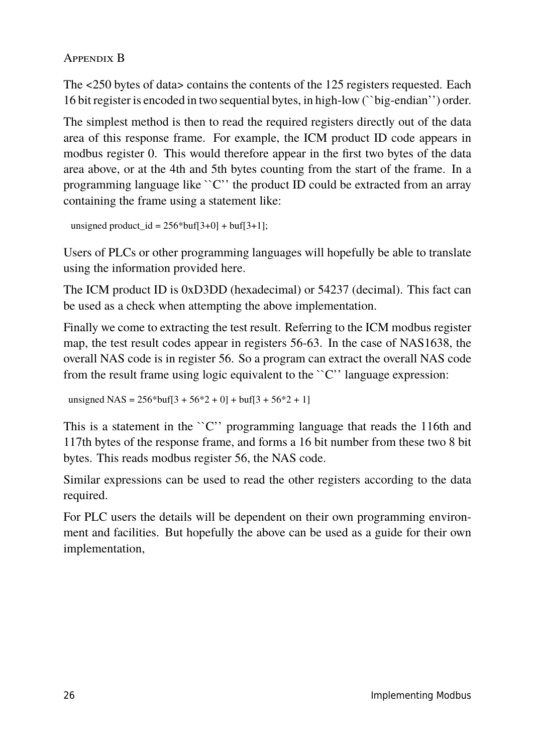Appendix B

The <250 bytes of data> contains the contents of the 125 registers requested. Each 16 bit register is encoded in two sequential bytes, in high-low (``big-endian'') order.

The simplest method is then to read the required registers directly out of the data area of this response frame. For example, the ICM product ID code appears in modbus register 0. This would therefore appear in the first two bytes of the data area above, or at the 4th and 5th bytes counting from the start of the frame. In a programming language like ``C'' the product ID could be extracted from an array containing the frame using a statement like:

```
unsigned product id = 256*buf[3+0] + buf[3+1];
```
Users of PLCs or other programming languages will hopefully be able to translate using the information provided here.

The ICM product ID is 0xD3DD (hexadecimal) or 54237 (decimal). This fact can be used as a check when attempting the above implementation.

Finally we come to extracting the test result. Referring to the ICM modbus register map, the test result codes appear in registers 56-63. In the case of NAS1638, the overall NAS code is in register 56. So a program can extract the overall NAS code from the result frame using logic equivalent to the ``C'' language expression:

unsigned NAS =  $256*$ buf[3 +  $56*2 + 0$ ] + buf[3 +  $56*2 + 1$ ]

This is a statement in the ``C'' programming language that reads the 116th and 117th bytes of the response frame, and forms a 16 bit number from these two 8 bit bytes. This reads modbus register 56, the NAS code.

Similar expressions can be used to read the other registers according to the data required.

For PLC users the details will be dependent on their own programming environment and facilities. But hopefully the above can be used as a guide for their own implementation,